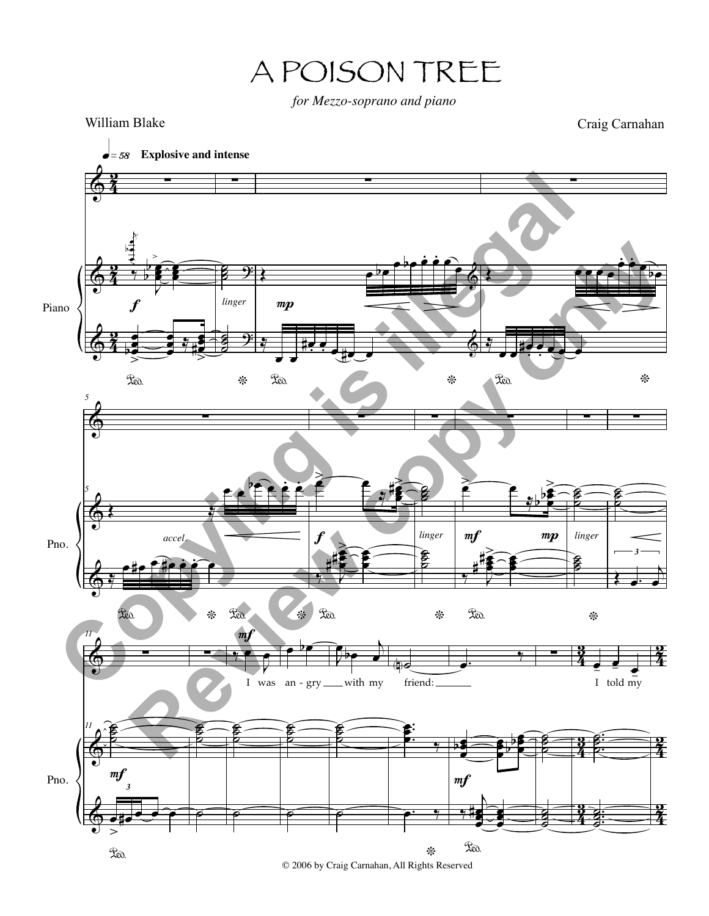A POISON TREE

*for Mezzo-soprano and piano*

 $\Phi$  $\Phi$  $\Phi$ 4 2<br>2 4 2<br>2 4 2<br>2 Piano !  $\mathsf{k}$ œ œ œ <sup>b</sup> <sup>&</sup>gt; <sup>&</sup>gt; J œ œ œ b **b** e  $\frac{1}{7}$   $\frac{1}{6}$   $\frac{1}{10}$ œ œ bœ  $\frac{1}{2}$ ° œ œ  $\frac{2}{\frac{3}{2}+\frac{3}{2}}$ œ  $\vec{e}$  $\ddot{\phantom{1}}$  $\bullet$  = 58 Explosive and intense f !!! **s** ˙  $\frac{2}{5}$  ): ˙ ˙  $\frac{8}{5}$ \*  $\overline{9}$ *linger* !!!  $\epsilon$ <u>. .</u>  $\frac{1}{6}$ <u>"</u> œ  $\mathfrak{X}_{\mathfrak{A}}$ œ #œ  $\frac{1}{\cdot}$  $\frac{1}{\sqrt{1-\frac{1}{2}}}$ \*  $\Phi$  $mp$ !!  $\overline{C}$  $\cdot$  $\frac{1}{\sqrt{2}}$  $\frac{y}{z}$  $\mathfrak{X}$ a. œ#œ **.**<br>.  $\Rightarrow$ \*  $\Phi$  $\Phi$  $\Phi$ Pno. *5* ! *5*  $\mathcal{L}$ œ Zeo.  $e^{\frac{b}{2}}$ .<br>ደይ . \* ي<br>پ °  $H$ . œ  $\sum_{i=1}^{\infty}$ \* *accel.* !<br>! œ  $\epsilon$   $\epsilon$   $\mu$ œ œ |}<br>#2  $\frac{1}{2}$ œ œ œ # # ><br>● Red. œ œ œ f ! ˙ **b**  $\boldsymbol{\beta}$ Ö<br>Doo \* *linger* ! œ  $\begin{array}{c} \begin{array}{c} \searrow \\ \hline \uparrow \end{array} & \begin{array}{c} \searrow \\ \hline \downarrow \end{array} \end{array}$ œ œ b b ><br>2  $\frac{1}{\gamma}$ œ œ ê # # ><br>€ Red. œ œ œ  $mf$  mp ! ˙ **S** õ<br>Р ˙ ˙ Ø<br>□  $\ast$ *linger* ! ˙ **S ð** *3*  $\leftarrow$ œ  $\Phi$  $\Phi$  $\Phi$ 4 <u>ភូ</u> 4 -<br>३ 4 <u>ភូ</u> 4 2<br>2 4 2<br>2 4 2<br>2 Pno. *11* !!! 11 o · 多 **S Ö** *3* œ  $\geq$ Leo. #œœ œ œ  $m<sub>j</sub>$ !!! ˙ ˙ **ø**  $\overline{P}$  $\frac{1}{2}$ œ I was an-gry ˙ ˙ **ĭ**  $\overline{P}$  $mf$ 。<br>B ˙ **ĭ**  $\overline{P}$ J  $\theta$  $\overline{\phantom{a}}$ with my .<br>B ˙ **ø**  $\overline{\tilde{\bm{e}}}$ N˙ friend: . . .<br>.<br>. œ œ œ ‰ œ. \* ‰  $\bullet$ . œ œ ë<br>P  $\frac{1}{2}$ œ  $\frac{1}{2}$ œ œ b b  $\overline{y}$  $\overline{h}$ œ e<br>A œ # Leo. œ è<br>E œ  $m f$ ! <br>B **E ð**<br>⊡  $\mathbf{s}$ ˙  $\frac{8}{3}$ œ  $\frac{1}{\epsilon}$  =  $\frac{1}{\epsilon}$ <br>I told my . . .<br>.<br>. ˙ Ø<br>⊃ **ð**<br>R . . .  $\overline{\mathbf{z}}$ <u>ነଷ</u>  $\frac{8}{3}$ Craig Carnahan William Blake **Copying is illegal Review copy only**

© 2006 by Craig Carnahan, All Rights Reserved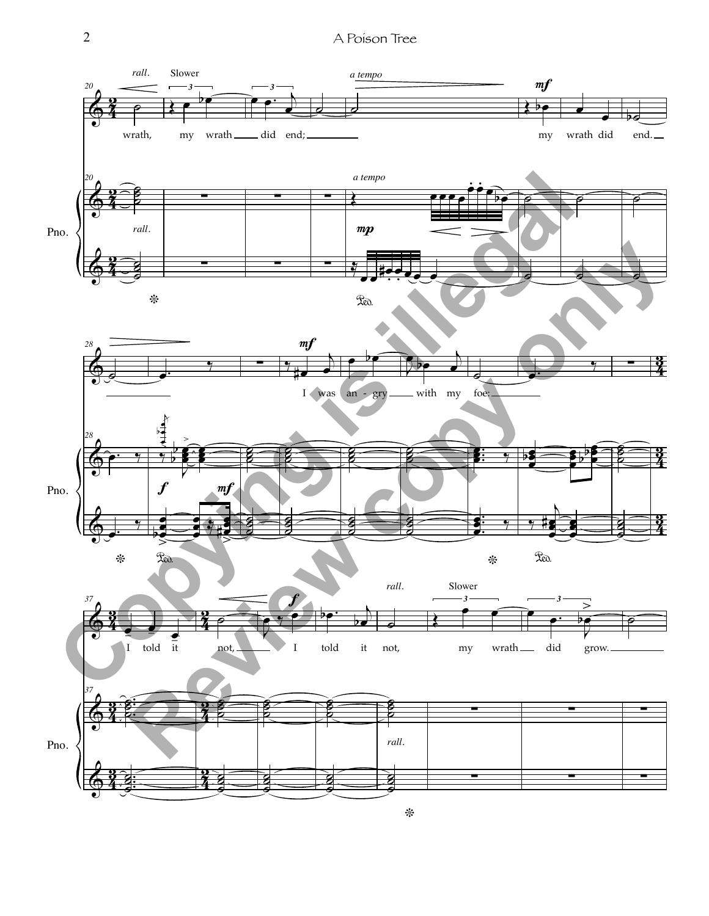2 A Poison Tree

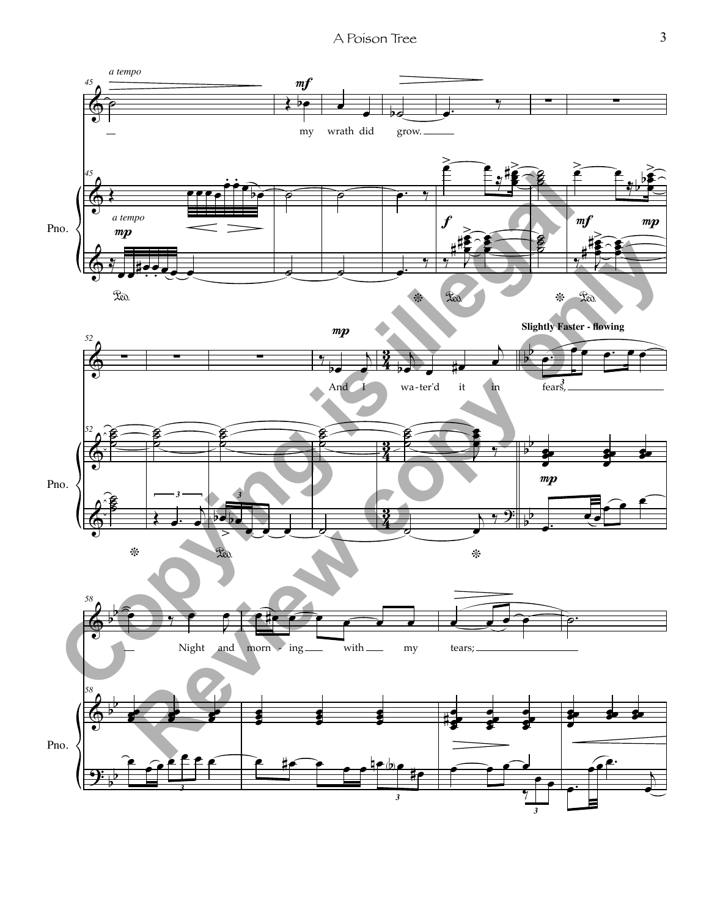A Poison Tree 3

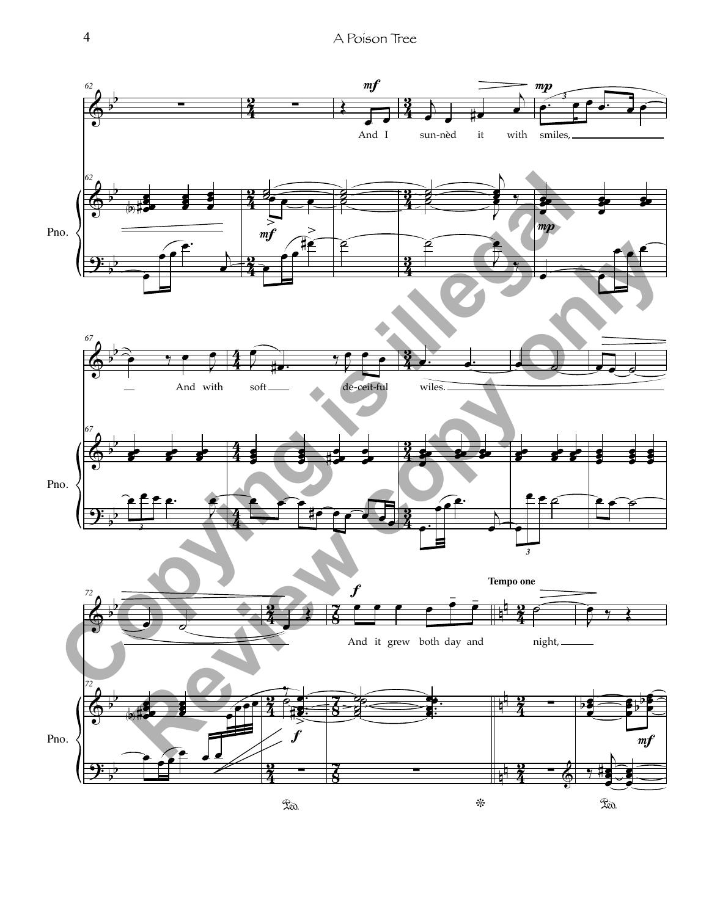